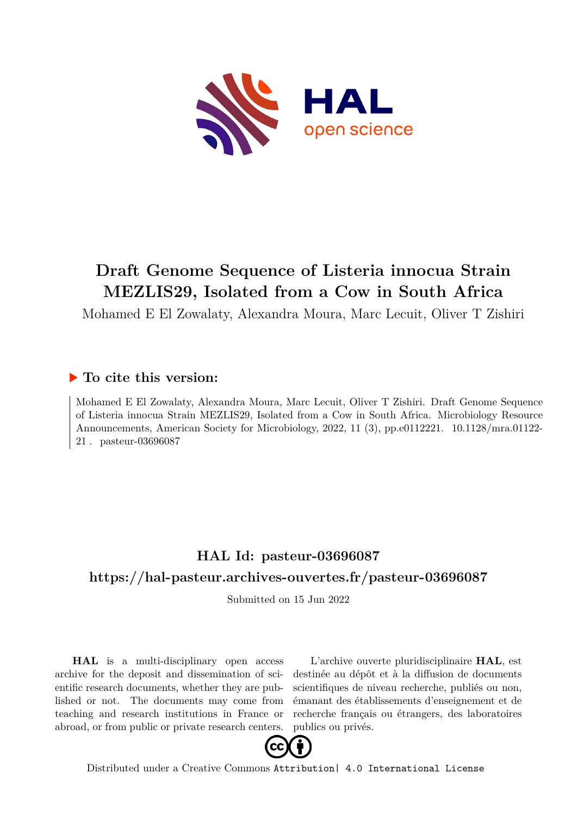

# **Draft Genome Sequence of Listeria innocua Strain MEZLIS29, Isolated from a Cow in South Africa**

Mohamed E El Zowalaty, Alexandra Moura, Marc Lecuit, Oliver T Zishiri

### **To cite this version:**

Mohamed E El Zowalaty, Alexandra Moura, Marc Lecuit, Oliver T Zishiri. Draft Genome Sequence of Listeria innocua Strain MEZLIS29, Isolated from a Cow in South Africa. Microbiology Resource Announcements, American Society for Microbiology, 2022, 11 (3), pp.e0112221. 10.1128/mra.01122-21 pasteur-03696087

### **HAL Id: pasteur-03696087 <https://hal-pasteur.archives-ouvertes.fr/pasteur-03696087>**

Submitted on 15 Jun 2022

**HAL** is a multi-disciplinary open access archive for the deposit and dissemination of scientific research documents, whether they are published or not. The documents may come from teaching and research institutions in France or abroad, or from public or private research centers.

L'archive ouverte pluridisciplinaire **HAL**, est destinée au dépôt et à la diffusion de documents scientifiques de niveau recherche, publiés ou non, émanant des établissements d'enseignement et de recherche français ou étrangers, des laboratoires publics ou privés.



Distributed under a Creative Commons [Attribution| 4.0 International License](http://creativecommons.org/licenses/by/4.0/)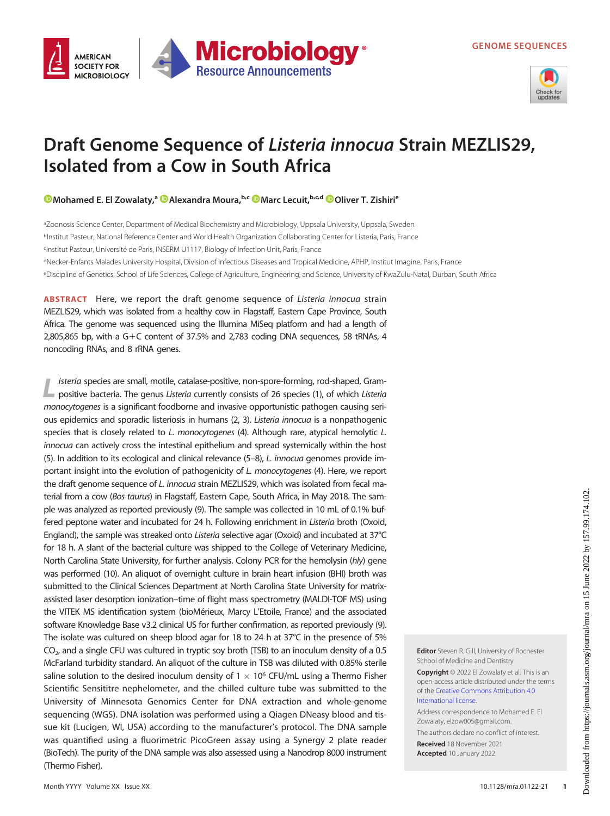



# Draft Genome Sequence of Listeria innocua Strain MEZLIS29, Isolated from a Cow in South Africa

[Mohamed E. El Zowalaty](https://orcid.org/0000-0002-1056-4761),<sup>a @</sup>[Alexandra Moura](https://orcid.org/0000-0003-0339-1230),<sup>b,c</sup> @[Marc Lecuit](https://orcid.org/0000-0002-4491-1063),<sup>b,c,d</sup> @[Oliver T. Zishiri](https://orcid.org/0000-0002-9741-4124)<sup>e</sup>

aZoonosis Science Center, Department of Medical Biochemistry and Microbiology, Uppsala University, Uppsala, Sweden bInstitut Pasteur, National Reference Center and World Health Organization Collaborating Center for Listeria, Paris, France cInstitut Pasteur, Université de Paris, INSERM U1117, Biology of Infection Unit, Paris, France

dNecker-Enfants Malades University Hospital, Division of Infectious Diseases and Tropical Medicine, APHP, Institut Imagine, Paris, France eDiscipline of Genetics, School of Life Sciences, College of Agriculture, Engineering, and Science, University of KwaZulu-Natal, Durban, South Africa

ABSTRACT Here, we report the draft genome sequence of Listeria innocua strain MEZLIS29, which was isolated from a healthy cow in Flagstaff, Eastern Cape Province, South Africa. The genome was sequenced using the Illumina MiSeq platform and had a length of 2,805,865 bp, with a  $G+C$  content of 37.5% and 2,783 coding DNA sequences, 58 tRNAs, 4 noncoding RNAs, and 8 rRNA genes.

isteria species are small, motile, catalase-positive, non-spore-forming, rod-shaped, Grampositive bacteria. The genus Listeria currently consists of 26 species (1), of which Listeria monocytogenes is a significant foodborne and invasive opportunistic pathogen causing serious epidemics and sporadic listeriosis in humans (2, 3). Listeria innocua is a nonpathogenic species that is closely related to L. monocytogenes (4). Although rare, atypical hemolytic L. innocua can actively cross the intestinal epithelium and spread systemically within the host (5). In addition to its ecological and clinical relevance (5–8), L. innocua genomes provide important insight into the evolution of pathogenicity of L. monocytogenes (4). Here, we report the draft genome sequence of L. innocua strain MEZLIS29, which was isolated from fecal material from a cow (Bos taurus) in Flagstaff, Eastern Cape, South Africa, in May 2018. The sample was analyzed as reported previously (9). The sample was collected in 10 mL of 0.1% buffered peptone water and incubated for 24 h. Following enrichment in Listeria broth (Oxoid, England), the sample was streaked onto Listeria selective agar (Oxoid) and incubated at 37°C for 18 h. A slant of the bacterial culture was shipped to the College of Veterinary Medicine, North Carolina State University, for further analysis. Colony PCR for the hemolysin (hly) gene was performed (10). An aliquot of overnight culture in brain heart infusion (BHI) broth was submitted to the Clinical Sciences Department at North Carolina State University for matrixassisted laser desorption ionization–time of flight mass spectrometry (MALDI-TOF MS) using the VITEK MS identification system (bioMérieux, Marcy L'Etoile, France) and the associated software Knowledge Base v3.2 clinical US for further confirmation, as reported previously (9). The isolate was cultured on sheep blood agar for 18 to 24 h at 37°C in the presence of 5%  $CO<sub>2</sub>$ , and a single CFU was cultured in tryptic soy broth (TSB) to an inoculum density of a 0.5 McFarland turbidity standard. An aliquot of the culture in TSB was diluted with 0.85% sterile saline solution to the desired inoculum density of  $1 \times 10^6$  CFU/mL using a Thermo Fisher Scientific Sensititre nephelometer, and the chilled culture tube was submitted to the University of Minnesota Genomics Center for DNA extraction and whole-genome sequencing (WGS). DNA isolation was performed using a Qiagen DNeasy blood and tissue kit (Lucigen, WI, USA) according to the manufacturer's protocol. The DNA sample was quantified using a fluorimetric PicoGreen assay using a Synergy 2 plate reader (BioTech). The purity of the DNA sample was also assessed using a Nanodrop 8000 instrument (Thermo Fisher).

Editor Steven R. Gill, University of Rochester School of Medicine and Dentistry

Copyright © 2022 El Zowalaty et al. This is an open-access article distributed under the terms of the [Creative Commons Attribution 4.0](https://creativecommons.org/licenses/by/4.0/) [International license](https://creativecommons.org/licenses/by/4.0/).

Address correspondence to Mohamed E. El Zowalaty, elzow005@gmail.com.

The authors declare no conflict of interest. Received 18 November 2021

Accepted 10 January 2022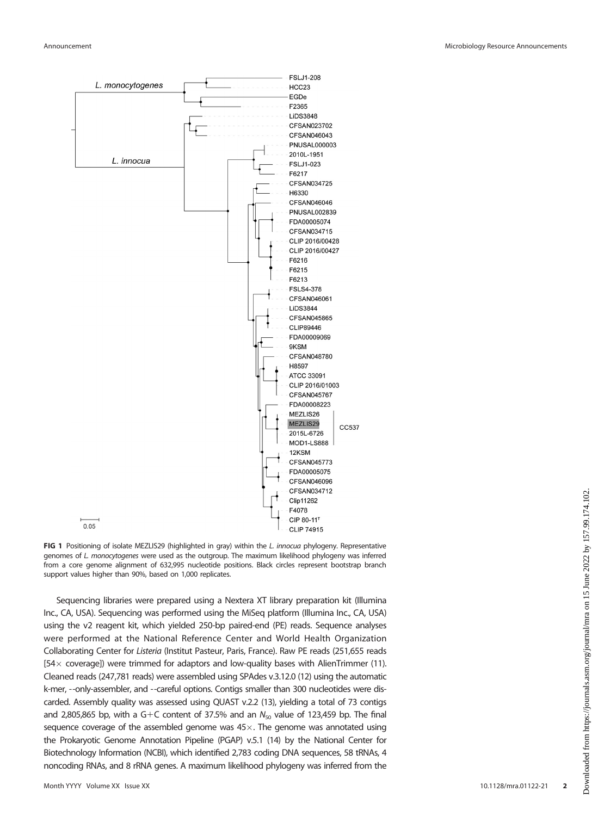

FIG 1 Positioning of isolate MEZLIS29 (highlighted in gray) within the L. innocua phylogeny. Representative genomes of L. monocytogenes were used as the outgroup. The maximum likelihood phylogeny was inferred from a core genome alignment of 632,995 nucleotide positions. Black circles represent bootstrap branch support values higher than 90%, based on 1,000 replicates.

Sequencing libraries were prepared using a Nextera XT library preparation kit (Illumina Inc., CA, USA). Sequencing was performed using the MiSeq platform (Illumina Inc., CA, USA) using the v2 reagent kit, which yielded 250-bp paired-end (PE) reads. Sequence analyses were performed at the National Reference Center and World Health Organization Collaborating Center for Listeria (Institut Pasteur, Paris, France). Raw PE reads (251,655 reads  $[54 \times$  coverage]) were trimmed for adaptors and low-quality bases with AlienTrimmer (11). Cleaned reads (247,781 reads) were assembled using SPAdes v.3.12.0 (12) using the automatic k-mer, --only-assembler, and --careful options. Contigs smaller than 300 nucleotides were discarded. Assembly quality was assessed using QUAST v.2.2 (13), yielding a total of 73 contigs and 2,805,865 bp, with a G+C content of 37.5% and an  $N_{50}$  value of 123,459 bp. The final sequence coverage of the assembled genome was  $45\times$ . The genome was annotated using the Prokaryotic Genome Annotation Pipeline (PGAP) v.5.1 (14) by the National Center for Biotechnology Information (NCBI), which identified 2,783 coding DNA sequences, 58 tRNAs, 4 noncoding RNAs, and 8 rRNA genes. A maximum likelihood phylogeny was inferred from the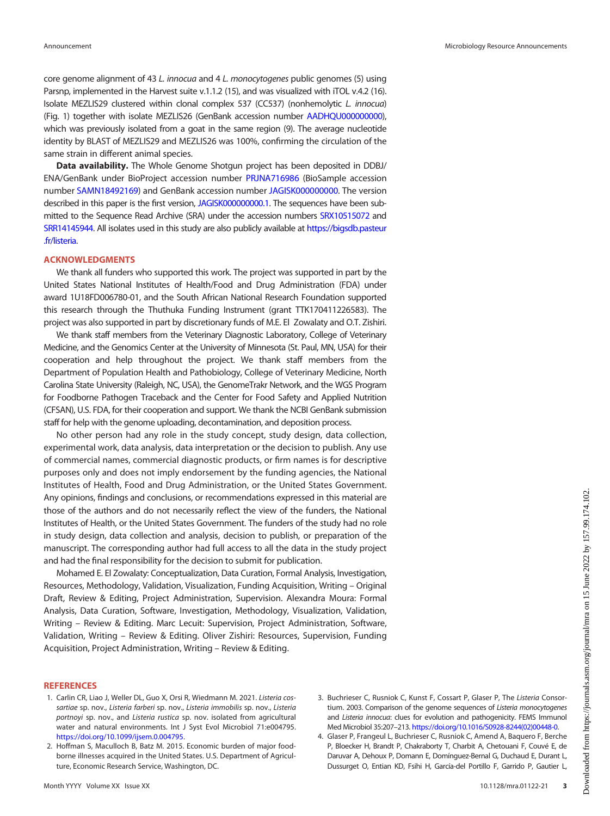core genome alignment of 43 L. innocua and 4 L. monocytogenes public genomes (5) using Parsnp, implemented in the Harvest suite v.1.1.2 (15), and was visualized with iTOL v.4.2 (16). Isolate MEZLIS29 clustered within clonal complex 537 (CC537) (nonhemolytic L. innocua) (Fig. 1) together with isolate MEZLIS26 (GenBank accession number [AADHQU000000000\)](https://www.ncbi.nlm.nih.gov/nuccore/AADHQU000000000), which was previously isolated from a goat in the same region (9). The average nucleotide identity by BLAST of MEZLIS29 and MEZLIS26 was 100%, confirming the circulation of the same strain in different animal species.

Data availability. The Whole Genome Shotgun project has been deposited in DDBJ/ ENA/GenBank under BioProject accession number [PRJNA716986](https://www.ncbi.nlm.nih.gov/bioproject/PRJNA716986) (BioSample accession number [SAMN18492169\)](https://www.ncbi.nlm.nih.gov/biosample/SAMN18492169) and GenBank accession number [JAGISK000000000](https://www.ncbi.nlm.nih.gov/nuccore/JAGISK000000000). The version described in this paper is the first version, [JAGISK000000000.1](https://www.ncbi.nlm.nih.gov/nuccore/JAGISK000000000.1). The sequences have been submitted to the Sequence Read Archive (SRA) under the accession numbers [SRX10515072](https://www.ncbi.nlm.nih.gov/sra/SRX10515072) and [SRR14145944](https://www.ncbi.nlm.nih.gov/sra/SRR14145944). All isolates used in this study are also publicly available at [https://bigsdb.pasteur](https://bigsdb.pasteur.fr/listeria) [.fr/listeria.](https://bigsdb.pasteur.fr/listeria)

#### ACKNOWLEDGMENTS

We thank all funders who supported this work. The project was supported in part by the United States National Institutes of Health/Food and Drug Administration (FDA) under award 1U18FD006780-01, and the South African National Research Foundation supported this research through the Thuthuka Funding Instrument (grant TTK170411226583). The project was also supported in part by discretionary funds of M.E. El Zowalaty and O.T. Zishiri.

We thank staff members from the Veterinary Diagnostic Laboratory, College of Veterinary Medicine, and the Genomics Center at the University of Minnesota (St. Paul, MN, USA) for their cooperation and help throughout the project. We thank staff members from the Department of Population Health and Pathobiology, College of Veterinary Medicine, North Carolina State University (Raleigh, NC, USA), the GenomeTrakr Network, and the WGS Program for Foodborne Pathogen Traceback and the Center for Food Safety and Applied Nutrition (CFSAN), U.S. FDA, for their cooperation and support. We thank the NCBI GenBank submission staff for help with the genome uploading, decontamination, and deposition process.

No other person had any role in the study concept, study design, data collection, experimental work, data analysis, data interpretation or the decision to publish. Any use of commercial names, commercial diagnostic products, or firm names is for descriptive purposes only and does not imply endorsement by the funding agencies, the National Institutes of Health, Food and Drug Administration, or the United States Government. Any opinions, findings and conclusions, or recommendations expressed in this material are those of the authors and do not necessarily reflect the view of the funders, the National Institutes of Health, or the United States Government. The funders of the study had no role in study design, data collection and analysis, decision to publish, or preparation of the manuscript. The corresponding author had full access to all the data in the study project and had the final responsibility for the decision to submit for publication.

Mohamed E. El Zowalaty: Conceptualization, Data Curation, Formal Analysis, Investigation, Resources, Methodology, Validation, Visualization, Funding Acquisition, Writing – Original Draft, Review & Editing, Project Administration, Supervision. Alexandra Moura: Formal Analysis, Data Curation, Software, Investigation, Methodology, Visualization, Validation, Writing – Review & Editing. Marc Lecuit: Supervision, Project Administration, Software, Validation, Writing – Review & Editing. Oliver Zishiri: Resources, Supervision, Funding Acquisition, Project Administration, Writing – Review & Editing.

#### **REFERENCES**

- 1. Carlin CR, Liao J, Weller DL, Guo X, Orsi R, Wiedmann M. 2021. Listeria cossartiae sp. nov., Listeria farberi sp. nov., Listeria immobilis sp. nov., Listeria portnoyi sp. nov., and Listeria rustica sp. nov. isolated from agricultural water and natural environments. Int J Syst Evol Microbiol 71:e004795. [https://doi.org/10.1099/ijsem.0.004795.](https://doi.org/10.1099/ijsem.0.004795)
- 2. Hoffman S, Maculloch B, Batz M. 2015. Economic burden of major foodborne illnesses acquired in the United States. U.S. Department of Agriculture, Economic Research Service, Washington, DC.
- 3. Buchrieser C, Rusniok C, Kunst F, Cossart P, Glaser P, The Listeria Consortium. 2003. Comparison of the genome sequences of Listeria monocytogenes and Listeria innocua: clues for evolution and pathogenicity. FEMS Immunol Med Microbiol 35:207–213. [https://doi.org/10.1016/S0928-8244\(02\)00448-0.](https://doi.org/10.1016/S0928-8244(02)00448-0)
- 4. Glaser P, Frangeul L, Buchrieser C, Rusniok C, Amend A, Baquero F, Berche P, Bloecker H, Brandt P, Chakraborty T, Charbit A, Chetouani F, Couvé E, de Daruvar A, Dehoux P, Domann E, Domínguez-Bernal G, Duchaud E, Durant L, Dussurget O, Entian KD, Fsihi H, García-del Portillo F, Garrido P, Gautier L,